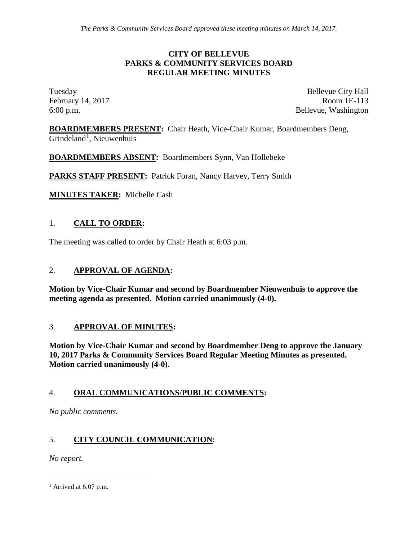#### **CITY OF BELLEVUE PARKS & COMMUNITY SERVICES BOARD REGULAR MEETING MINUTES**

Tuesday Bellevue City Hall February 14, 2017 Room 1E-113 6:00 p.m. Bellevue, Washington

**BOARDMEMBERS PRESENT:** Chair Heath, Vice-Chair Kumar, Boardmembers Deng, Grindeland<sup>[1](#page-0-0)</sup>, Nieuwenhuis

**BOARDMEMBERS ABSENT:** Boardmembers Synn, Van Hollebeke

PARKS STAFF PRESENT: Patrick Foran, Nancy Harvey, Terry Smith

**MINUTES TAKER:** Michelle Cash

### 1. **CALL TO ORDER:**

The meeting was called to order by Chair Heath at 6:03 p.m.

### 2. **APPROVAL OF AGENDA:**

**Motion by Vice-Chair Kumar and second by Boardmember Nieuwenhuis to approve the meeting agenda as presented. Motion carried unanimously (4-0).**

#### 3. **APPROVAL OF MINUTES:**

**Motion by Vice-Chair Kumar and second by Boardmember Deng to approve the January 10, 2017 Parks & Community Services Board Regular Meeting Minutes as presented. Motion carried unanimously (4-0).**

#### 4. **ORAL COMMUNICATIONS/PUBLIC COMMENTS:**

*No public comments.* 

# 5. **CITY COUNCIL COMMUNICATION:**

*No report.*

<span id="page-0-0"></span> $<sup>1</sup>$  Arrived at 6:07 p.m.</sup>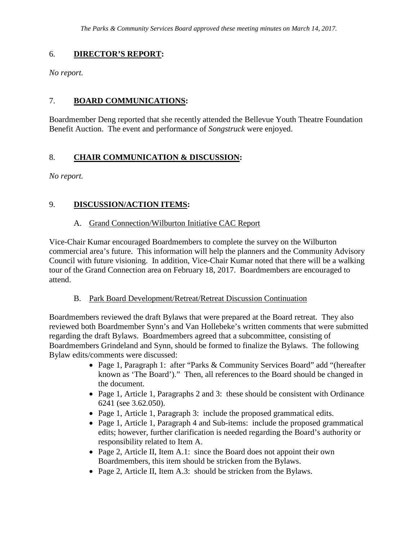### 6. **DIRECTOR'S REPORT:**

*No report.*

# 7. **BOARD COMMUNICATIONS:**

Boardmember Deng reported that she recently attended the Bellevue Youth Theatre Foundation Benefit Auction. The event and performance of *Songstruck* were enjoyed.

# 8. **CHAIR COMMUNICATION & DISCUSSION:**

*No report.*

### 9. **DISCUSSION/ACTION ITEMS:**

#### A. Grand Connection/Wilburton Initiative CAC Report

Vice-Chair Kumar encouraged Boardmembers to complete the survey on the Wilburton commercial area's future. This information will help the planners and the Community Advisory Council with future visioning. In addition, Vice-Chair Kumar noted that there will be a walking tour of the Grand Connection area on February 18, 2017. Boardmembers are encouraged to attend.

#### B. Park Board Development/Retreat/Retreat Discussion Continuation

Boardmembers reviewed the draft Bylaws that were prepared at the Board retreat. They also reviewed both Boardmember Synn's and Van Hollebeke's written comments that were submitted regarding the draft Bylaws. Boardmembers agreed that a subcommittee, consisting of Boardmembers Grindeland and Synn, should be formed to finalize the Bylaws. The following Bylaw edits/comments were discussed:

- Page 1, Paragraph 1: after "Parks & Community Services Board" add "(hereafter known as 'The Board')." Then, all references to the Board should be changed in the document.
- Page 1, Article 1, Paragraphs 2 and 3: these should be consistent with Ordinance 6241 (see 3.62.050).
- Page 1, Article 1, Paragraph 3: include the proposed grammatical edits.
- Page 1, Article 1, Paragraph 4 and Sub-items: include the proposed grammatical edits; however, further clarification is needed regarding the Board's authority or responsibility related to Item A.
- Page 2, Article II, Item A.1: since the Board does not appoint their own Boardmembers, this item should be stricken from the Bylaws.
- Page 2, Article II, Item A.3: should be stricken from the Bylaws.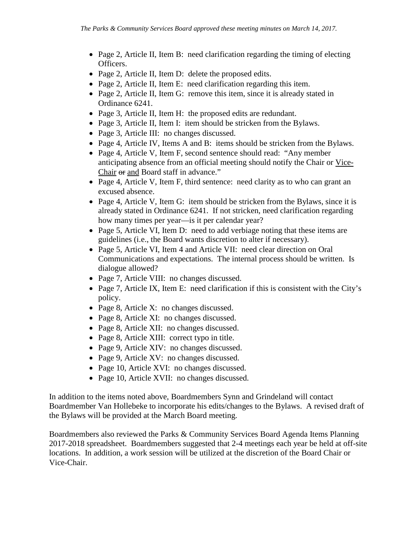- Page 2, Article II, Item B: need clarification regarding the timing of electing Officers.
- Page 2, Article II, Item D: delete the proposed edits.
- Page 2, Article II, Item E: need clarification regarding this item.
- Page 2, Article II, Item G: remove this item, since it is already stated in Ordinance 6241.
- Page 3, Article II, Item H: the proposed edits are redundant.
- Page 3, Article II, Item I: item should be stricken from the Bylaws.
- Page 3, Article III: no changes discussed.
- Page 4, Article IV, Items A and B: items should be stricken from the Bylaws.
- Page 4, Article V, Item F, second sentence should read: "Any member anticipating absence from an official meeting should notify the Chair or Vice-Chair or and Board staff in advance."
- Page 4, Article V, Item F, third sentence: need clarity as to who can grant an excused absence.
- Page 4, Article V, Item G: item should be stricken from the Bylaws, since it is already stated in Ordinance 6241. If not stricken, need clarification regarding how many times per year—is it per calendar year?
- Page 5, Article VI, Item D: need to add verbiage noting that these items are guidelines (i.e., the Board wants discretion to alter if necessary).
- Page 5, Article VI, Item 4 and Article VII: need clear direction on Oral Communications and expectations. The internal process should be written. Is dialogue allowed?
- Page 7, Article VIII: no changes discussed.
- Page 7, Article IX, Item E: need clarification if this is consistent with the City's policy.
- Page 8, Article X: no changes discussed.
- Page 8, Article XI: no changes discussed.
- Page 8, Article XII: no changes discussed.
- Page 8, Article XIII: correct typo in title.
- Page 9, Article XIV: no changes discussed.
- Page 9, Article XV: no changes discussed.
- Page 10, Article XVI: no changes discussed.
- Page 10, Article XVII: no changes discussed.

In addition to the items noted above, Boardmembers Synn and Grindeland will contact Boardmember Van Hollebeke to incorporate his edits/changes to the Bylaws. A revised draft of the Bylaws will be provided at the March Board meeting.

Boardmembers also reviewed the Parks & Community Services Board Agenda Items Planning 2017-2018 spreadsheet. Boardmembers suggested that 2-4 meetings each year be held at off-site locations. In addition, a work session will be utilized at the discretion of the Board Chair or Vice-Chair.